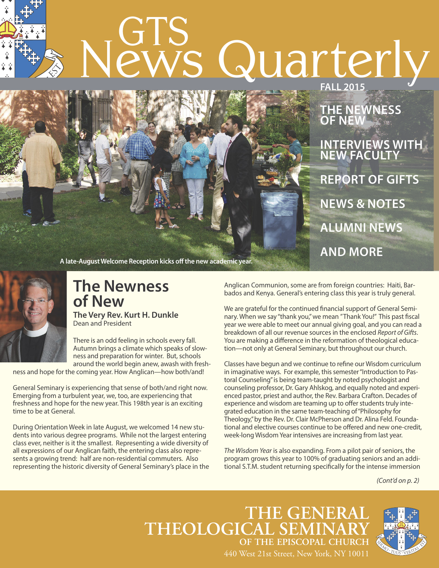## • $\frac{1}{2}$ GTS News Quarterly **FAll 2015**



**THe NeWNess oF NeW INTeRVIeWs WITH NeW FAculTy RepoRT oF GIFTs NeWs & NoTes AlumNI NeWs AND moRe**

**A late-AugustWelcome Reception kicks off the new academic year.**



## **The Newness of New**

**The Very Rev. Kurt H. Dunkle** Dean and President

There is an odd feeling in schools every fall. Autumn brings a climate which speaks of slowness and preparation for winter. But, schools around the world begin anew, awash with fresh-

ness and hope for the coming year. How Anglican—how both/and!

General Seminary is experiencing that sense of both/and right now. Emerging from a turbulent year, we, too, are experiencing that freshness and hope for the new year. This 198th year is an exciting time to be at General.

During Orientation Week in late August, we welcomed 14 new students into various degree programs. While not the largest entering class ever, neither is it the smallest. Representing a wide diversity of all expressions of our Anglican faith, the entering class also represents a growing trend: half are non-residential commuters. Also representing the historic diversity of General Seminary's place in the Anglican Communion, some are from foreign countries: Haiti, Barbados and Kenya. General's entering class this year is truly general.

We are grateful for the continued financial support of General Seminary. When we say "thank you," we mean "Thank You!" This past fiscal year we were able to meet our annual giving goal, and you can read a breakdown of all our revenue sources in the enclosed *Report of Gifts*. You are making a difference in the reformation of theological education—not only at General Seminary, but throughout our church.

Classes have begun and we continue to refine our Wisdom curriculum in imaginative ways. For example, this semester "Introduction to Pastoral Counseling"is being team-taught by noted psychologist and counseling professor, Dr. Gary Ahlskog, and equally noted and experienced pastor, priest and author, the Rev. Barbara Crafton. Decades of experience and wisdom are teaming up to offer students truly integrated education in the same team-teaching of"Philosophy for Theology,"by the Rev. Dr. Clair McPherson and Dr. Alina Feld. Foundational and elective courses continue to be offered and new one-credit, week-long Wisdom Year intensives are increasing from last year.

*The Wisdom Year* is also expanding. From a pilot pair of seniors, the program grows this year to 100% of graduating seniors and an additional S.T.M. student returning specifically for the intense immersion

*(Cont'd on p. 2)*

**THE GENERAL**  $THEOLOGICAL SEM$ **OF THE EPISCOPAL CHURCH** 440 West 21st Street, New York, NY 10011

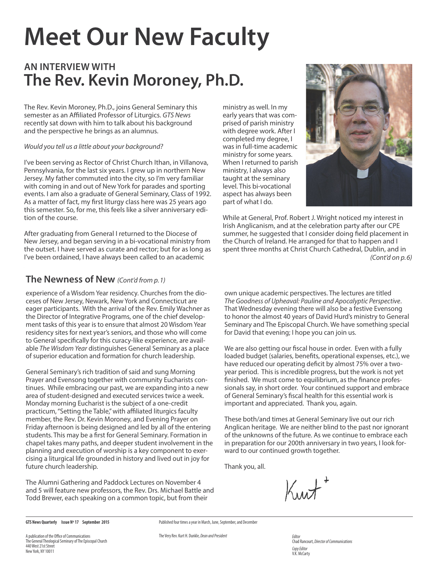# **meet our New Faculty**

### **AN INTeRVIeW WITH The Rev. Kevin moroney, ph.D.**

The Rev. Kevin Moroney, Ph.D., joins General Seminary this semester as an Affiliated Professor of Liturgics. *GTS News* recently sat down with him to talk about his background and the perspective he brings as an alumnus.

### *Would you tell us a little about your background?*

I've been serving as Rector of Christ Church Ithan, in Villanova, Pennsylvania, for the last six years. I grew up in northern New Jersey. My father commuted into the city, so I'm very familiar with coming in and out of New York for parades and sporting events. I am also a graduate of General Seminary, Class of 1992. As a matter of fact, my first liturgy class here was 25 years ago this semester. So, for me, this feels like a silver anniversary edition of the course.

After graduating from General I returned to the Diocese of New Jersey, and began serving in a bi-vocational ministry from the outset. I have served as curate and rector; but for as long as I've been ordained, I have always been called to an academic

ministry as well. In my early years that was comprised of parish ministry with degree work. After I completed my degree, I was in full-time academic ministry for some years. When I returned to parish ministry, I always also taught at the seminary level. This bi-vocational aspect has always been part of what I do.



While at General, Prof. Robert J. Wright noticed my interest in Irish Anglicanism, and at the celebration party after our CPE summer, he suggested that I consider doing field placement in the Church of Ireland. He arranged for that to happen and I spent three months at Christ Church Cathedral, Dublin, and in *(Cont'd on p.6)*

### **The Newness of New** *(Cont'd from p.1)*

experience of a Wisdom Year residency. Churches from the dioceses of New Jersey, Newark, New York and Connecticut are eager participants. With the arrival of the Rev. Emily Wachner as the Director of Integrative Programs, one of the chief development tasks of this year is to ensure that almost 20 Wisdom Year residency sites for next year's seniors, and those who will come to General specifically for this curacy-like experience, are available *The Wisdom Year* distinguishes General Seminary as a place of superior education and formation for church leadership.

General Seminary's rich tradition of said and sung Morning Prayer and Evensong together with community Eucharists continues. While embracing our past, we are expanding into a new area of student-designed and executed services twice a week. Monday morning Eucharist is the subject of a one-credit practicum,"Setting the Table,"with affiliated liturgics faculty member, the Rev. Dr. Kevin Moroney, and Evening Prayer on Friday afternoon is being designed and led by all of the entering students. This may be a first for General Seminary. Formation in chapel takes many paths, and deeper student involvement in the planning and execution of worship is a key component to exercising a liturgical life grounded in history and lived out in joy for future church leadership.

The Alumni Gathering and Paddock Lectures on November 4 and 5 will feature new professors, the Rev. Drs. Michael Battle and Todd Brewer, each speaking on a common topic, but from their

own unique academic perspectives. The lectures are titled *The Goodness of Upheaval: Pauline and Apocalyptic Perspective*. That Wednesday evening there will also be a festive Evensong to honor the almost 40 years of David Hurd's ministry to General Seminary and The Episcopal Church. We have something special for David that evening; I hope you can join us.

We are also getting our fiscal house in order. Even with a fully loaded budget (salaries, benefits, operational expenses, etc.), we have reduced our operating deficit by almost 75% over a twoyear period. This is incredible progress, but the work is not yet finished. We must come to equilibrium, as the finance professionals say, in short order. Your continued support and embrace of General Seminary's fiscal health for this essential work is important and appreciated. Thank you, again.

These both/and times at General Seminary live out our rich Anglican heritage. We are neither blind to the past nor ignorant of the unknowns of the future. As we continue to embrace each in preparation for our 200th anniversary in two years, I look forward to our continued growth together.

Thank you, all.

**GTS News Quarterly Issue Nº 17 September 2015**

A publication of the Office of Communications The General Theological Seminary of The Episcopal Church 440 West 21st Street New York, NY 10011

Chad Rancourt, *DirectorofCommunications CopyEditor* V.K. McCarty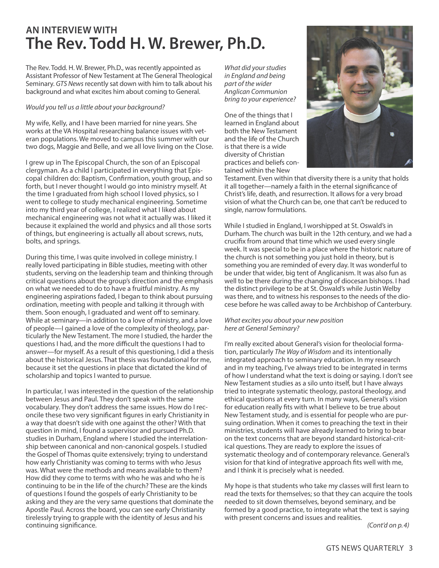### **AN INTeRVIeW WITH The Rev. Todd H. W. Brewer, ph.D.**

The Rev. Todd. H. W. Brewer, Ph.D., was recently appointed as Assistant Professor of New Testament at The General Theological Seminary. *GTS News* recently sat down with him to talk about his background and what excites him about coming to General.

### *Would you tell us a little about your background?*

My wife, Kelly, and I have been married for nine years. She works at the VA Hospital researching balance issues with veteran populations. We moved to campus this summer with our two dogs, Maggie and Belle, and we all love living on the Close.

I grew up in The Episcopal Church, the son of an Episcopal clergyman. As a child I participated in everything that Episcopal children do: Baptism, Confirmation, youth group, and so forth, but I never thought I would go into ministry myself. At the time I graduated from high school I loved physics, so I went to college to study mechanical engineering. Sometime into my third year of college, I realized what I liked about mechanical engineering was not what it actually was. I liked it because it explained the world and physics and all those sorts of things, but engineering is actually all about screws, nuts, bolts, and springs.

During this time, I was quite involved in college ministry. I really loved participating in Bible studies, meeting with other students, serving on the leadership team and thinking through critical questions about the group's direction and the emphasis on what we needed to do to have a fruitful ministry. As my engineering aspirations faded, I began to think about pursuing ordination, meeting with people and talking it through with them. Soon enough, I graduated and went off to seminary. While at seminary—in addition to a love of ministry, and a love of people—I gained a love of the complexity of theology, particularly the New Testament. The more I studied, the harder the questions I had, and the more difficult the questions I had to answer—for myself. As a result of this questioning, I did a thesis about the historical Jesus. That thesis was foundational for me, because it set the questions in place that dictated the kind of scholarship and topics I wanted to pursue.

In particular, I was interested in the question of the relationship between Jesus and Paul. They don't speak with the same vocabulary. They don't address the same issues. How do I reconcile these two very significant figures in early Christianity in a way that doesn't side with one against the other? With that question in mind, I found a supervisor and pursued Ph.D. studies in Durham, England where I studied the interrelationship between canonical and non-canonical gospels. I studied the Gospel of Thomas quite extensively; trying to understand how early Christianity was coming to terms with who Jesus was. What were the methods and means available to them? How did they come to terms with who he was and who he is continuing to be in the life of the church? These are the kinds of questions I found the gospels of early Christianity to be asking and they are the very same questions that dominate the Apostle Paul. Across the board, you can see early Christianity tirelessly trying to grapple with the identity of Jesus and his continuing significance.

*What did yourstudies in England and being part of the wider Anglican Communion bring to your experience?*

One of the things that I learned in England about both the New Testament and the life of the Church is that there is a wide diversity of Christian practices and beliefs contained within the New



Testament. Even within that diversity there is a unity that holds it all together—namely a faith in the eternal significance of Christ's life, death, and resurrection. It allows for a very broad vision of what the Church can be, one that can't be reduced to single, narrow formulations.

While I studied in England, I worshipped at St. Oswald's in Durham. The church was built in the 12th century, and we had a crucifix from around that time which we used every single week. It was special to be in a place where the historic nature of the church is not something you just hold in theory, but is something you are reminded of every day. It was wonderful to be under that wider, big tent of Anglicanism. It was also fun as well to be there during the changing of diocesan bishops. I had the distinct privilege to be at St. Oswald's while Justin Welby was there, and to witness his responses to the needs of the diocese before he was called away to be Archbishop of Canterbury.

### *What excites you about your new position here at General Seminary?*

I'm really excited about General's vision for theolocial formation, particularly *The Way of Wisdom* and its intentionally integrated approach to seminary education. In my research and in my teaching, I've always tried to be integrated in terms of how I understand what the text is doing or saying. I don't see New Testament studies as a silo unto itself, but I have always tried to integrate systematic theology, pastoral theology, and ethical questions at every turn. In many ways, General's vision for education really fits with what I believe to be true about New Testament study, and is essential for people who are pursuing ordination. When it comes to preaching the text in their ministries, students will have already learned to bring to bear on the text concerns that are beyond standard historical-critical questions. They are ready to explore the issues of systematic theology and of contemporary relevance. General's vision for that kind of integrative approach fits well with me, and I think it is precisely what is needed.

My hope is that students who take my classes will first learn to read the texts for themselves; so that they can acquire the tools needed to sit down themselves, beyond seminary, and be formed by a good practice, to integrate what the text is saying with present concerns and issues and realities.

*(Cont'd on p.4)*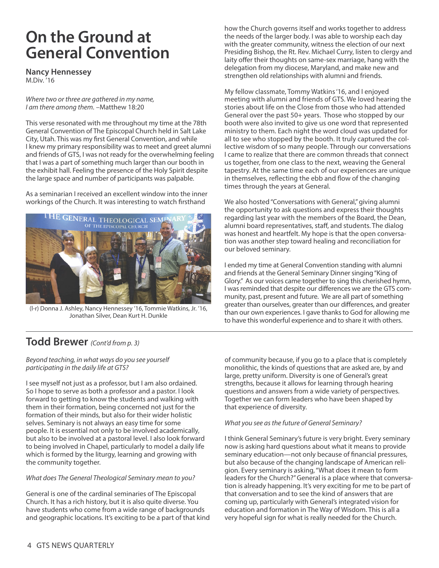## **on the Ground at General convention**

**Nancy Hennessey**

M.Div. '16

*Where two or three are gathered in my name, I am there among them.* –Matthew 18:20

This verse resonated with me throughout my time at the 78th General Convention of The Episcopal Church held in Salt Lake City, Utah. This was my first General Convention, and while I knew my primary responsibility was to meet and greet alumni and friends of GTS, I was not ready for the overwhelming feeling that I was a part of something much larger than our booth in the exhibit hall. Feeling the presence of the Holy Spirit despite the large space and number of participants was palpable.

As a seminarian I received an excellent window into the inner workings of the Church. It was interesting to watch firsthand



(l-r) Donna J. Ashley, Nancy Hennessey '16, Tommie Watkins, Jr. '16, Jonathan Silver, Dean Kurt H. Dunkle

### **Todd Brewer** *(Cont'd from p. 3)*

*Beyond teaching, in what ways do you see yourself participating in the daily life at GTS?*

I see myself not just as a professor, but I am also ordained. So I hope to serve as both a professor and a pastor. I look forward to getting to know the students and walking with them in their formation, being concerned not just for the formation of their minds, but also for their wider holistic selves. Seminary is not always an easy time for some people. It is essential not only to be involved academically, but also to be involved at a pastoral level. I also look forward to being involved in Chapel, particularly to model a daily life which is formed by the liturgy, learning and growing with the community together.

### *What does The General Theological Seminary mean to you?*

General is one of the cardinal seminaries of The Episcopal Church. It has a rich history, but it is also quite diverse. You have students who come from a wide range of backgrounds and geographic locations. It's exciting to be a part of that kind how the Church governs itself and works together to address the needs of the larger body. I was able to worship each day with the greater community, witness the election of our next Presiding Bishop, the Rt. Rev. Michael Curry, listen to clergy and laity offer their thoughts on same-sex marriage, hang with the delegation from my diocese, Maryland, and make new and strengthen old relationships with alumni and friends.

My fellow classmate, Tommy Watkins'16, and I enjoyed meeting with alumni and friends of GTS. We loved hearing the stories about life on the Close from those who had attended General over the past 50+ years. Those who stopped by our booth were also invited to give us one word that represented ministry to them. Each night the word cloud was updated for all to see who stopped by the booth. It truly captured the collective wisdom of so many people. Through our conversations I came to realize that there are common threads that connect us together, from one class to the next, weaving the General tapestry. At the same time each of our experiences are unique in themselves, reflecting the ebb and flow of the changing times through the years at General.

We also hosted "Conversations with General," giving alumni the opportunity to ask questions and express their thoughts regarding last year with the members of the Board, the Dean, alumni board representatives, staff, and students. The dialog was honest and heartfelt. My hope is that the open conversation was another step toward healing and reconciliation for our beloved seminary.

I ended my time at General Convention standing with alumni and friends at the General Seminary Dinner singing "King of Glory." As our voices came together to sing this cherished hymn, I was reminded that despite our differences we are the GTS community, past, present and future. We are all part of something greater than ourselves, greater than our differences, and greater than our own experiences. I gave thanks to God for allowing me to have this wonderful experience and to share it with others.

of community because, if you go to a place that is completely monolithic, the kinds of questions that are asked are, by and large, pretty uniform. Diversity is one of General's great strengths, because it allows for learning through hearing questions and answers from a wide variety of perspectives. Together we can form leaders who have been shaped by that experience of diversity.

### *What you see asthe future of General Seminary?*

I think General Seminary's future is very bright. Every seminary now is asking hard questions about what it means to provide seminary education—not only because of financial pressures, but also because of the changing landscape of American religion. Every seminary is asking,"What does it mean to form leaders for the Church?"General is a place where that conversation is already happening. It's very exciting for me to be part of that conversation and to see the kind of answers that are coming up, particularly with General's integrated vision for education and formation in The Way of Wisdom. This is all a very hopeful sign for what is really needed for the Church.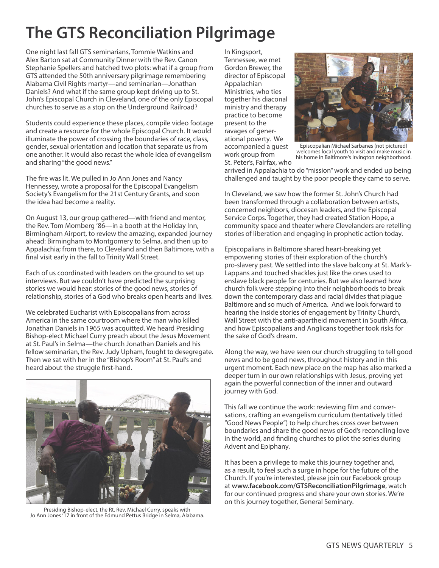## **The GTs Reconciliation pilgrimage**

One night last fall GTS seminarians, Tommie Watkins and Alex Barton sat at Community Dinner with the Rev. Canon Stephanie Spellers and hatched two plots: what if a group from GTS attended the 50th anniversary pilgrimage remembering Alabama Civil Rights martyr—and seminarian—Jonathan Daniels? And what if the same group kept driving up to St. John's Episcopal Church in Cleveland, one of the only Episcopal churches to serve as a stop on the Underground Railroad?

Students could experience these places, compile video footage and create a resource for the whole Episcopal Church. It would illuminate the power of crossing the boundaries of race, class, gender, sexual orientation and location that separate us from one another. It would also recast the whole idea of evangelism and sharing"the good news."

The fire was lit. We pulled in Jo Ann Jones and Nancy Hennessey, wrote a proposal for the Episcopal Evangelism Society's Evangelism for the 21st Century Grants, and soon the idea had become a reality.

On August 13, our group gathered—with friend and mentor, the Rev. Tom Momberg '86—in a booth at the Holiday Inn, Birmingham Airport, to review the amazing, expanded journey ahead: Birmingham to Montgomery to Selma, and then up to Appalachia; from there, to Cleveland and then Baltimore, with a final visit early in the fall to Trinity Wall Street.

Each of us coordinated with leaders on the ground to set up interviews. But we couldn't have predicted the surprising stories we would hear: stories of the good news, stories of relationship, stories of a God who breaks open hearts and lives.

We celebrated Eucharist with Episcopalians from across America in the same courtroom where the man who killed Jonathan Daniels in 1965 was acquitted. We heard Presiding Bishop-elect Michael Curry preach about the Jesus Movement at St. Paul's in Selma—the church Jonathan Daniels and his fellow seminarian, the Rev. Judy Upham, fought to desegregate. Then we sat with her in the "Bishop's Room" at St. Paul's and heard about the struggle first-hand.



Presiding Bishop-elect, the Rt. Rev. Michael Curry, speaks with Jo Ann Jones '17 in front of the Edmund Pettus Bridge in Selma, Alabama.

In Kingsport, Tennessee, we met Gordon Brewer, the director of Episcopal Appalachian Ministries, who ties together his diaconal ministry and therapy practice to become present to the ravages of generational poverty. We accompanied a guest work group from St. Peter's, Fairfax, who



Episcopalian Michael Sarbanes (not pictured) welcomes local youth to visit and make music in his home in Baltimore's Irvington neighborhood.

arrived in Appalachia to do"mission"work and ended up being challenged and taught by the poor people they came to serve.

In Cleveland, we saw how the former St. John's Church had been transformed through a collaboration between artists, concerned neighbors, diocesan leaders, and the Episcopal Service Corps. Together, they had created Station Hope, a community space and theater where Clevelanders are retelling stories of liberation and engaging in prophetic action today.

Episcopalians in Baltimore shared heart-breaking yet empowering stories of their exploration of the church's pro-slavery past. We settled into the slave balcony at St. Mark's-Lappans and touched shackles just like the ones used to enslave black people for centuries. But we also learned how church folk were stepping into their neighborhoods to break down the contemporary class and racial divides that plague Baltimore and so much of America. And we look forward to hearing the inside stories of engagement by Trinity Church, Wall Street with the anti-apartheid movement in South Africa, and how Episcopalians and Anglicans together took risks for the sake of God's dream.

Along the way, we have seen our church struggling to tell good news and to be good news, throughout history and in this urgent moment. Each new place on the map has also marked a deeper turn in our own relationships with Jesus, proving yet again the powerful connection of the inner and outward journey with God.

This fall we continue the work: reviewing film and conversations, crafting an evangelism curriculum (tentatively titled "Good News People") to help churches cross over between boundaries and share the good news of God's reconciling love in the world, and finding churches to pilot the series during Advent and Epiphany.

It has been a privilege to make this journey together and, as a result, to feel such a surge in hope for the future of the Church. If you're interested, please join our Facebook group at **www.facebook.com/GTsReconciliationpilgrimage**, watch for our continued progress and share your own stories. We're on this journey together, General Seminary.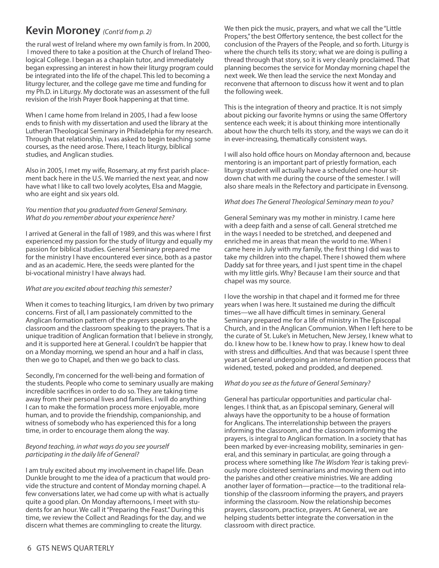### **Kevin moroney** *(Cont'd from p. 2)*

the rural west of Ireland where my own family is from. In 2000, I moved there to take a position at the Church of Ireland Theological College. I began as a chaplain tutor, and immediately began expressing an interest in how their liturgy program could be integrated into the life of the chapel. This led to becoming a liturgy lecturer, and the college gave me time and funding for my Ph.D. in Liturgy. My doctorate was an assessment of the full revision of the Irish Prayer Book happening at that time.

When I came home from Ireland in 2005, I had a few loose ends to finish with my dissertation and used the library at the Lutheran Theological Seminary in Philadelphia for my research. Through that relationship, I was asked to begin teaching some courses, as the need arose. There, I teach liturgy, biblical studies, and Anglican studies.

Also in 2005, I met my wife, Rosemary, at my first parish placement back here in the U.S. We married the next year, and now have what I like to call two lovely acolytes, Elsa and Maggie, who are eight and six years old.

### *You mention that you graduated from General Seminary. What do you remember about your experience here?*

I arrived at General in the fall of 1989, and this was where I first experienced my passion for the study of liturgy and equally my passion for biblical studies. General Seminary prepared me for the ministry I have encountered ever since, both as a pastor and as an academic. Here, the seeds were planted for the bi-vocational ministry I have always had.

### *What are you excited about teaching thissemester?*

When it comes to teaching liturgics, I am driven by two primary concerns. First of all, I am passionately committed to the Anglican formation pattern of the prayers speaking to the classroom and the classroom speaking to the prayers. That is a unique tradition of Anglican formation that I believe in strongly, and it is supported here at General. I couldn't be happier that on a Monday morning, we spend an hour and a half in class, then we go to Chapel, and then we go back to class.

Secondly, I'm concerned for the well-being and formation of the students. People who come to seminary usually are making incredible sacrifices in order to do so. They are taking time away from their personal lives and families. I will do anything I can to make the formation process more enjoyable, more human, and to provide the friendship, companionship, and witness of somebody who has experienced this for a long time, in order to encourage them along the way.

### *Beyond teaching, in what ways do you see yourself participating in the daily life of General?*

I am truly excited about my involvement in chapel life. Dean Dunkle brought to me the idea of a practicum that would provide the structure and content of Monday morning chapel. A few conversations later, we had come up with what is actually quite a good plan. On Monday afternoons, I meet with students for an hour. We call it"Preparing the Feast."During this time, we review the Collect and Readings for the day, and we discern what themes are commingling to create the liturgy.

We then pick the music, prayers, and what we call the "Little Propers," the best Offertory sentence, the best collect for the conclusion of the Prayers of the People, and so forth. Liturgy is where the church tells its story; what we are doing is pulling a thread through that story, so it is very cleanly proclaimed. That planning becomes the service for Monday morning chapel the next week. We then lead the service the next Monday and reconvene that afternoon to discuss how it went and to plan the following week.

This is the integration of theory and practice. It is not simply about picking our favorite hymns or using the same Offertory sentence each week; it is about thinking more intentionally about how the church tells its story, and the ways we can do it in ever-increasing, thematically consistent ways.

I will also hold office hours on Monday afternoon and, because mentoring is an important part of priestly formation, each liturgy student will actually have a scheduled one-hour sitdown chat with me during the course of the semester. I will also share meals in the Refectory and participate in Evensong.

### *What does The General Theological Seminary mean to you?*

General Seminary was my mother in ministry. I came here with a deep faith and a sense of call. General stretched me in the ways I needed to be stretched, and deepened and enriched me in areas that mean the world to me. When I came here in July with my family, the first thing I did was to take my children into the chapel. There I showed them where Daddy sat for three years, and I just spent time in the chapel with my little girls. Why? Because I am their source and that chapel was my source.

I love the worship in that chapel and it formed me for three years when I was here. It sustained me during the difficult times—we all have difficult times in seminary. General Seminary prepared me for a life of ministry in The Episcopal Church, and in the Anglican Communion. When I left here to be the curate of St. Luke's in Metuchen, New Jersey, I knew what to do. I knew how to be. I knew how to pray. I knew how to deal with stress and difficulties. And that was because I spent three years at General undergoing an intense formation process that widened, tested, poked and prodded, and deepened.

### *What do you see asthe future of General Seminary?*

General has particular opportunities and particular challenges. I think that, as an Episcopal seminary, General will always have the opportunity to be a house of formation for Anglicans. The interrelationship between the prayers informing the classroom, and the classroom informing the prayers, is integral to Anglican formation. In a society that has been marked by ever-increasing mobility, seminaries in general, and this seminary in particular, are going through a process where something like *The Wisdom Year* is taking previously more cloistered seminarians and moving them out into the parishes and other creative ministries. We are adding another layer of formation—practice—to the traditional relationship of the classroom informing the prayers, and prayers informing the classroom. Now the relationship becomes prayers, classroom, practice, prayers. At General, we are helping students better integrate the conversation in the classroom with direct practice.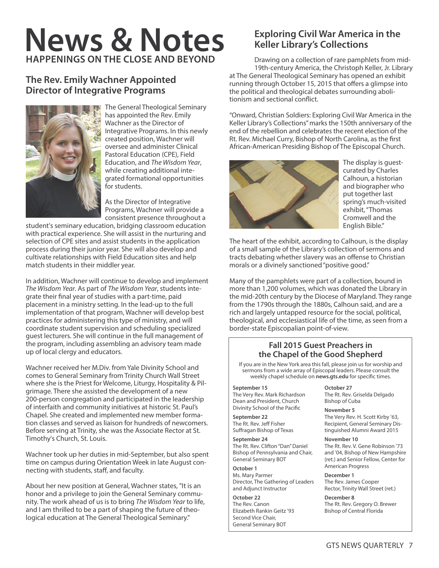## **News & Notes HAppeNINGs oN THe close AND BeyoND**

### **The Rev. emily Wachner Appointed Director of Integrative programs**



The General Theological Seminary has appointed the Rev. Emily Wachner as the Director of Integrative Programs. In this newly created position, Wachner will oversee and administer Clinical Pastoral Education (CPE), Field Education, and *The Wisdom Year*, while creating additional integrated formational opportunities for students.

As the Director of Integrative Programs, Wachner will provide a consistent presence throughout a

student's seminary education, bridging classroom education with practical experience. She will assist in the nurturing and selection of CPE sites and assist students in the application process during their junior year. She will also develop and cultivate relationships with Field Education sites and help match students in their middler year.

In addition, Wachner will continue to develop and implement *The Wisdom Year*. As part of *The Wisdom Year*, students integrate their final year of studies with a part-time, paid placement in a ministry setting. In the lead-up to the full implementation of that program, Wachner will develop best practices for administering this type of ministry, and will coordinate student supervision and scheduling specialized guest lecturers. She will continue in the full management of the program, including assembling an advisory team made up of local clergy and educators.

Wachner received her M.Div. from Yale Divinity School and comes to General Seminary from Trinity Church Wall Street where she is the Priest for Welcome, Liturgy, Hospitality & Pilgrimage. There she assisted the development of a new 200-person congregation and participated in the leadership of interfaith and community initiatives at historic St. Paul's Chapel. She created and implemented new member formation classes and served as liaison for hundreds of newcomers. Before serving at Trinity, she was the Associate Rector at St. Timothy's Church, St. Louis.

Wachner took up her duties in mid-September, but also spent time on campus during Orientation Week in late August connecting with students, staff, and faculty.

About her new position at General, Wachner states, "It is an honor and a privilege to join the General Seminary community. The work ahead of us is to bring *The Wisdom Year* to life, and I am thrilled to be a part of shaping the future of theological education at The General Theological Seminary."

### **exploring civil War America in the Keller library's collections**

Drawing on a collection of rare pamphlets from mid-19th-century America, the Christoph Keller, Jr. Library at The General Theological Seminary has opened an exhibit running through October 15, 2015 that offers a glimpse into the political and theological debates surrounding abolitionism and sectional conflict.

"Onward, Christian Soldiers: Exploring Civil War America in the Keller Library's Collections"marks the 150th anniversary of the end of the rebellion and celebrates the recent election of the Rt. Rev. Michael Curry, Bishop of North Carolina, as the first African-American Presiding Bishop of The Episcopal Church.



The display is guestcurated by Charles Calhoun, a historian and biographer who put together last spring's much-visited exhibit,"Thomas Cromwell and the English Bible."

The heart of the exhibit, according to Calhoun, is the display of a small sample of the Library's collection of sermons and tracts debating whether slavery was an offense to Christian morals or a divinely sanctioned"positive good."

Many of the pamphlets were part of a collection, bound in more than 1,200 volumes, which was donated the Library in the mid-20th century by the Diocese of Maryland. They range from the 1790s through the 1880s, Calhoun said, and are a rich and largely untapped resource for the social, political, theological, and ecclesiastical life of the time, as seen from a border-state Episcopalian point-of-view.

### **Fall 2015 Guest preachers in the chapel of the Good shepherd**

If you are in the New York area this fall, please join us for worship and sermons from a wide array of Episcopal leaders. Please consult the weekly chapel schedule on **news.gts.edu** for specific times.

### **September 15**

The Very Rev. Mark Richardson Dean and President, Church Divinity School of the Pacific

**September 22** The Rt. Rev. Jeff Fisher Suffragan Bishop of Texas

### **September 24**

The Rt. Rev. Clifton"Dan"Daniel Bishop of Pennsylvania and Chair, General Seminary BOT

### **October 1**

Ms. Mary Parmer Director, The Gathering of Leaders and Adjunct Instructor

### **October 22**

The Rev. Canon Elizabeth Rankin Geitz '93 Second Vice Chair, General Seminary BOT

**October 27** The Rt. Rev. Griselda Delgado Bishop of Cuba

**November 5** The Very Rev. H. Scott Kirby '63, Recipient, General Seminary Distinguished Alumni Award 2015

### **November 10**

The Rt. Rev. V. Gene Robinson '73 and '04, Bishop of New Hampshire (ret.) and Senior Fellow, Center for American Progress

### **December 1**

The Rev. James Cooper Rector, Trinity Wall Street (ret.)

**December 8** The Rt. Rev. Gregory O. Brewer Bishop of Central Florida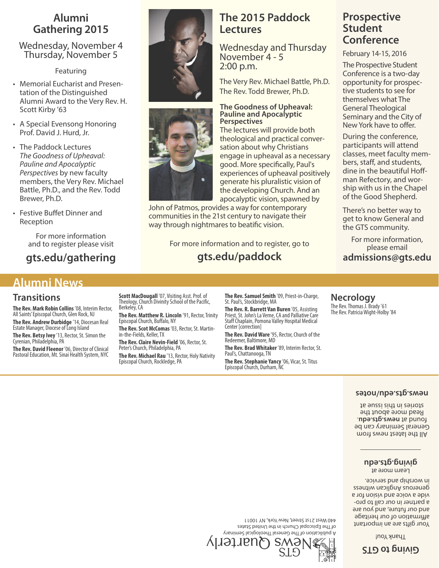### **Alumni Gathering 2015**

Wednesday, November 4 Thursday, November 5

Featuring

- Memorial Eucharist and Presentation of the Distinguished Alumni Award to the Very Rev. H. Scott Kirby '63
- A Special Evensong Honoring Prof. David J. Hurd, Jr.
- The Paddock Lectures *The Goodness of Upheaval: Pauline and Apocalyptic Perspectives* by new faculty members, the Very Rev. Michael Battle, Ph.D., and the Rev. Todd Brewer, Ph.D.
- Festive Buffet Dinner and Reception

For more information and to register please visit

**gts.edu/gathering**

### **Alumni News**

### **Transitions**

**The Rev. Mark Robin Collins** '08, Interim Rector, All Saints' Episcopal Church, Glen Rock, NJ **The Rev. Andrew Durbidge** '14, Diocesan Real

Estate Manager, Diocese of Long Island **The Rev. Betsy Ivey** '13, Rector, St. Simon the Cyrenian, Philadelphia, PA

**The Rev. David Fleenor** '06, Director of Clinical Pastoral Education, Mt. Sinai Health System, NYC **Scott MacDougall** '07, Visiting Asst. Prof. of Theology, Church Divinity School of the Pacific,<br>Berkeley, CA

**The Rev. Matthew R. Lincoln** '91, Rector, Trinity EpiscopalChurch, Buffalo, NY

**The Rev. Scot McComas** '03, Rector, St. Martin-<br>in-the-Fields, Keller, TX

**The Rev. Claire Nevin-Field** '06, Rector, St. Peter's Church, Philadelphia, PA

**The Rev.Michael Rau** '13, Rector, Holy Nativity Episcopal Church, Rockledge, PA

**The Rev. Samuel Smith** '09, Priest-in-Charge, St. Paul's, Stockbridge, MA

**The Rev. R. Barrett Van Buren** '05, Assisting Priest, St. John's La Verne, CA and Palliative Care<br>Staff Chaplain, Pomona Valley Hospital Medical Center [correction]

**The Rev. David Ware** '95, Rector, Church of the Redeemer, Baltimore, MD

**The Rev. Brad Whitaker** '89, Interim Rector, St. Paul's, Chattanooga, TN

**The Rev. Stephanie Yancy** '06, Vicar, St. Titus Episcopal Church, Durham, NC

### **prospective student conference**

February 14-15, 2016

The Prospective Student Conference is a two-day opportunity for prospective students to see for themselves what The General Theological Seminary and the City of NewYork have to offer.

During the conference, participants will attend classes, meet faculty members, staff, and students, dine in the beautiful Hoffman Refectory, and worship with us in the Chapel of the Good Shepherd.

There's no better way to get to know General and the GTS community.

For more information, please email **admissions@gts.edu**

### The Rev. Thomas J. Brady '61 The Rev. Patricia Wight-Holby '84

**Necrology**

### **set on/ ude. st g. <sup>s</sup> wen**

mont zwen testel edt liA General Seminary can be . **ude. st g. <sup>s</sup> wen**<sup>t</sup> <sup>a</sup> dnuof Read more about the stories in this issue at

> Learn more at **d**<br> **g**

Your gifts are an important egatired no to noit meritage and our future, and you are a partner in our call to proa not noisiv bna epiov a ebiv generous Anglican witness . epivies bus qinenow ni

yr ani meSl aci gol oehTl ar eneGehTf <sup>o</sup> noit acil bup A of The Episcopal Church in the United States 440 West 21st Street, New York, NY 10011



l'hoy *x* had

**sTGot gni vi G**





### the developing Church. And an apocalyptic vision, spawned by John of Patmos, provides a way for contemporary communities in the 21st century to navigate their way through nightmares to beatific vision.

**The 2015 paddock**

Wednesday and Thursday

The Very Rev. Michael Battle, Ph.D. The Rev. Todd Brewer, Ph.D.

**The Goodness of Upheaval: Pauline and Apocalyptic**

The lectures will provide both theological and practical conversation about why Christians engage in upheaval as a necessary good. More specifically, Paul's experiences of upheaval positively generate his pluralistic vision of

**lectures**

2:00 p.m.

**Perspectives**

November 4 - 5

For more information and to register, go to **gts.edu/paddock**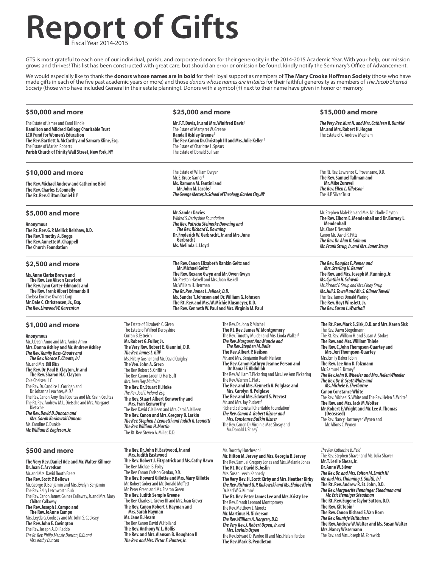## **Report of Gifts** Fiscal Year 2014-2015

GTS is most grateful to each one of our individual, parish, and corporate donors for their generosity in the 2014-2015 Academic Year. With your help, our mission grows and thrives! This list has been constructed with great care, but should an error or omission be found, kindly notify the Seminary's Office of Advancement.

We would especially like to thank the **donors whose names are in bold** for their loyal support as members of **The Mary Crooke Hoffman Society** (those who have<br>made gifts in each of the five past academic years or more) and *Society* (those who have included General in their estate planning). Donors with a symbol (†) next to their name have given in honor or memory.

#### **\$50,000 and more**

The Estate of James and Carol Hindle **Hamilton andMildred Kellogg Charitable Trust LCU Fund forWomen'sEducation The Rev.Bartlett A.McCarthy and Samara Kline,Esq.** The Estate of Marian Roberts **Parish Church of Trinity Wall Street, New York, NY** 

### **\$10,000 and more**

**The Rev.Michael Andrew and Catherine Bird The Rev. Charles E. Connelly The Rt.Rev.Clifton Daniel III** †

#### **\$5,000 and more**

**Anonymous The Rt.Rev.G.P.Mellick Belshaw,D.D. The Rev.Timothy A.Boggs The Rev. Annette M. Chappell The Church Foundation**

### **\$2,500 and more**

**Ms.Anne Clarke Brown and The Rev.Lee Alison Crawford The Rev.Lynn Carter-Edmands and The Rev. Frank Albert Edmands II** Chelsea Enclave Owners Corp **Mr.Dale C.Christensen,Jr.,Esq.** *The Rev.LinwoodW.Garrenton*

### **\$1,000 and more**

**Anonymous** Mr.J.Dean Amroand Mrs.Amira Amro **Mrs.Donna Ashley andMr.Andrew Ashley** *The Rev.Yamily Bass-Choate and The Rev.HoraceE.Choate,Jr.* † Mr.and Mrs.Bill Bliss **The Rev.Dr.Paul B.Clayton,Jr.and The Rev.Sharon H.C.Clayton** Cole Chelsea LLC The Rev. Dr. Candice L. Corrigan and<br>Dr. Johanna Leuchter, M.D.† The Rev. Canon Amy Real Coultas and Mr. Kevin Coultas The Rt.Rev.Andrew M.L.Dietscheand Mrs.Margaret Dietsche *The Rev.David D.Duncan and Mrs.Sarah Korkowski Duncan* Ms. Caroline C. Dunkle *Mr.WilliamB.Eagleson,Jr.*

#### **\$500 and more**

**The Very Rev.Daniel Ade andMr.Walter Killmer Dr.Joan C.Arvedson** Mr.and Mrs.David Booth Beers **The Rev.Scott P.Bellows** Mr.George D.Benjamin and Mrs.Evelyn Benjamin The Rev. Sally Letchworth Bub The Rev. Canon James Gaines Callaway, Jr. and Mrs. Mary<br>Chilton Callaway **The Rev.Joseph J.Campo and The Rev.JoAnne Campo** Mrs.Leyda G.Cookseyand Mr.John S.Cooksey **The Rev.John E.Covington** The Rev.Joseph A.Di Raddo *TheRt.Rev.Philip Menzie Duncan,D.D.and Mrs.Kathy Duncan*

#### **\$25,000 and more**

**Mr.F.T.Davis,Jr.andMrs.Winifred Davis**† The Estate of Margaret W. Greene **Randall Ashley Greene**† **The Rev.Canon Dr.Christoph III andMrs.Julie Keller** † The Estate of Charlotte L. Spears The Estate of Donald Sullivan

The Estate of William Dwyer Mr.E.Bruce Garner † **Ms.RamonaM.Fantini and Mr.JohnM.Jacobs**† **The George Mercer, Jr. School of Theology, Garden City, NY** 

**Mr.Sander Davies** *Wilfred S.Derbyshire Foundation The Rev.Patricia Steinecke Downing and The Rev.Richard E.Downing* **Dr.FrederickW.Gerbracht,Jr.andMrs.June Gerbracht Ms.Melinda L.Lloyd**

**The Rev.Canon Elizabeth Rankin Geitz and Mr.Michael Geitz**† **The Rev.Roxane Gwyn andMr.Owen Gwyn** Mr.Preston Haskelland Mrs.Joan Haskell Mr.William H.Herrman *The Rt.Rev.JamesL.Jelinek,D.D.* **Ms.Sandra T.Johnson and Dr.WilliamG.Johnson The Rt.Rev.andMrs.W.Michie Klusmeyer,D.D. The Rev.KennethW.Paul andMrs.VirginiaM.Paul**

The Estate of Elizabeth C. Given The Estate of Wilfred Derbyshire Curran B.Estreich **Mr.Robert G.Fuller,Jr. The Very Rev.RobertE.Giannini,D.D.** *The Rev.JamesL.Gill* † Ms.Hilary Gosherand Mr.David Quigley **The Ven.John A.Greco** The Rev. Robert S. Griffiths The Rev.Canon Jadon D.Hartsuff *Mrs.Joan Hay Madeira* **The Rev.Dr.Stuart H.Hoke The Rev. Joel T. Ireland, Esa. The Rev.Stuart Albert Kenworthy and Mrs.Fran Kenworthy** The Rev. David C. Killeen and Mrs. Carol A. Killeen **The Rev.Canon andMrs.Gregory B.Larkin** *The Rev.Stephen J.Leonetti and Judith G.Leonetti The Rev.WilliamH.Martin* The Rt. Rev. Steven A. Miller, D.D.

**The Rev.Dr.John H.Eastwood,Jr.and Mrs.Judith Eastwood**

The Rev. Michael B. Foley The Rev. Canon Carlson Gerdau, D.D.

**The Rev.Robert J.Fitzpatrick andMs.Cathy Hawn**

**The Rev.Howard Gillette andMrs.Mary Gillette** Mr.Robert Goberand Mr.Donald Moffett Mr.Peter Green and Ms.Sharon Green **The Rev.Judith Semple Greene** The Rev. Charles L. Grover III and Mrs. Joan Grover **The Rev.Canon RobertF.Hayman and Mrs.Sarah Hayman Ms.Jane B.Hearn** The Rev. Canon David W. Holland **The Rev.AnthonyW.L.Hollis The Rev.andMrs.Alanson B.Houghton II** *The Rev.andMrs.VictorE.Hunter,Jr.*

The Rev.Dr.John P.Mitchell **The Rt.Rev.JamesW.Montgomery** The Rev.Timothy Mulder and Mrs. Linda Walker† *The Rev.Margaret AnnMuncie and The Rev.StephenM.Bolle* **The Rev.Albert P.Neilson** Mr.and Mrs.Benjamin Reath Neilson **The Rev.Canon Kathryn Jeanne Person and Dr.KamalF.Abdullah** The Rev. William T. Pickering and Mrs. Lee Ann Pickering The Rev.Warren C.Platt **The Rev.andMrs.Kenneth A.Polglase and Mrs.Carolyn H.Polglase The Rev.andMrs.Edward S.Prevost** Mr. and Mrs. Jay Puckett† Richard Saltonstall Charitable Foundation<sup>†</sup> *The Rev.Canon A.Robert Rizner and Mrs.Constance Bufkin Rizner* The Rev. Canon Dr. Virginia Mae Sheav and Mr. Donald J. Sheay

### **\$15,000 and more**

*TheVery Rev.Kurt H.andMrs.Cathleen B.Dunkle*† **Mr.andMrs.Robert H.Hogan** The Estate of C. Andrew Mepham

The Rt. Rev. Lawrence C. Provenzano, D.D. **The Rev.SamuelTallman and Mr.Mike Zuravel** *The Rev.Ellen L.Tillotson*† The H.P.SilverTrust

Mr. Stephen Malekian and Mrs. Nhickolle Clayton **The Rev.Elborn E.Mendenhall and Dr.BurneyL. Mendenhall** Ms. Clare F. Nesmith Canon Mr.David R.Pitts *The Rev.Dr.Alan K.Salmon Mr. Frank Strup, Jr. and Mrs. Janet Strup* 

*The Rev.DouglasE.Remer and Mrs.Sterling H.Remer* † **The Rev. and Mrs. Joseph M. Running, Jr.** *Ms.Cynthia H.Schwab Mr. Richard F. Strup and Mrs. Cindy Strup Ms.JuliS.Towell andMr.S.GilmerTowell* The Rev. James Donald Waring **The Rev.HoytWinslett,Jr.** *The Rev.Susan L.Wrathall*

**The Rt.Rev.Mark S.Sisk,D.D.andMrs.Karen Sisk** The Rev. Dawn Stegelmann<sup>†</sup> The Rt. Rev. William H. and Susan A. Stokes **The Rev.andMrs.WilliamThiele The Rev.C.John Thompson-Quartey and Mrs.JeriThompson-Quartey** Mrs. Emily Baker Tobin **The Rev.Lee Ann D.Tolzmann** Mr. Samuel E. Urmey<sup>†</sup> *The Rev.John B.Wheeler andMrs.HelenWheeler The Rev.Dr.R.ScottWhite and Ms.MicheleE.Sherburne* **Canon ConstanceWhite**† The Rev. Michael S. White and The Rev. Helen S. White<sup>†</sup> **The Rev.and Mrs. Jack M. Wolter Mr.RobertE.Wright andMr.Lee A.Thomas (Deceased)** The Rev.Nancy HartmeyerWynen and Mr.AlfonsC.Wynen

### Ms.Dorothy Hutcheson†

**Mr. Hilton M. Jervey and Mrs. Georgia B. Jervey** The Rev. Samuel Gregory Jones and Mrs. Melanie Jones **The Rt.Rev.David B.Joslin** Mrs.Susan Leech Kennedy **The Very Rev.H.Scott Kirby andMrs.Heather Kirby** *The Rev.Richard G.P.Kukowski andMs.Elaine Klein* Dr.KarlW.G.Kumm† **The Rt.Rev.Peter JamesLee andMrs.KristyLee** The Rev. Brandt Leonard Montgomery The Rev.Matthew J.Moretz **Mr.Martinus H.Nickerson** *The Rev.WilliamA.Norgren,D.D. TheVery Rev.J.Robert Orpen,Jr.and Mrs.Lavinia Orpen* The Rev. Edward D. Pardoe III and Mrs. Helen Pardoe **The Rev.Mark B.Pendleton**

**The Rev. Catharine B. Reid** The Rev. Stephen Shaver and Ms. Julia Shaver **Mr.T.Leslie Shear,Jr. Dr.AnneW.Silver** *The Rev.Dr.andMrs.ColtonM.Smith III Mr.andMrs.Channing S.Smith,Jr.* † **The Rt.Rev.Andrew R.St.John,D.D.** *The Rev.Marguerite HenningerSteadman and Mr.Eric HennigerSteadman* **The Rt.Rev.Eugene TaylorSutton,D.D. The Rev.KitTobin**† **The Rev.Canon Richard S.Van Horn** *The Rev.TeunisjeVelthuizen* **The Rev.AndrewW.Walter andMs.SusanWalter Mrs.NancyWissemann** The Rev.and Mrs.Joseph M.Zorawick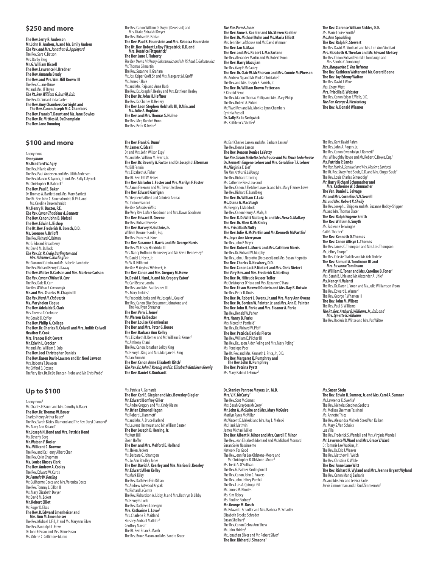#### **\$250 and more**

**The Rev.Jerry R.Anderson Mr.John H.Andren,Jr.andMs.Emily Andren** *The Rev.andMrs.Jonathan B.Appleyard* The Rev. Sara C. Batson Mrs.Darby Berg **Mr.G.WilliamBissell The Rev.Lawrence H.Bradner The Rev.Amanda Brady The Rev.andMrs.Wm.Hill Brown III** The Rev.C. Jane Bruce Mr.and Mrs.JF Bryan *The Rt.Rev.WilliamG.Burrill,D.D.* The Rev.Dr. Susan Linda Carter **The Rev.AmyChambersCortright and The Rev.Canon JosephM.C.Chambers The Rev.FrancisT.Daunt andMs.Jane Bowles The Rev.Dr.MittiesM.DeChamplain The Rev.Jane Dunning**

#### **\$100 and more**

Anonymous *Anonymous* **Mr.BradfordW.Agry** The Rev. Hilario Albert The Rev.Paul Andersen and Mrs.Lilith Andersen The Rev. Marvin B. Aycock, Jr. and Mrs. Sally T. Aycock Mr. Christopher H. Babcock<sup>+</sup> **The Rev.PaulE.Baker** Dr.Thomas A. Bartlett and Mrs. Mary Bartlett The Rt.Rev.John C.Bauerschmidt,D.Phil.and Ms.Caroline Bauerschmidt **Mr.Henry H.Baxter,P.E.** *The Rev.CanonThaddeus A.Bennett* **The Rev.Canon John B.Birdsall The Rev.Edwin L.Bishop The Rt.Rev.Frederick H.Borsch,D.D. Ms.Leonore A.Briloff** The Rev. Richard C. Britton Mr.G.Edward Broadberry Mr. David M. Bullock *The Rev.Dr.R.Craig Burlington and<br>Mrs.Adelene C.Burlington<br>Mr.Giovanni Caforio and Ms.Isabelle Lambotte* The Rev.Richard HenryCallaway **The Rev.Walter D.Carlson andMrs.Marlene Carlson** *The Rev.Canon Clifford B.Carr* The Rev.Dale R.Carr *TheRev.WilliamJ.Cavanaugh* **Mr.andMrs.CharlesM.Chapin III** *The Rev.Ward H.Clabuesch* **Ms.Maryhelen Clague The Rev.Adelaide S.Clark** Mrs. Theresa T. Cochrane Mr.Gerald D.Coffey **The Rev.Philip A.College The Rev.Dr.Charles R.Colwell andMrs.Judith Colwell Heather E. Cook Mrs. Frances Holt Covert Mr.Edwin L.Crocker** Mr.and Mrs.William S.Culp **The Rev.JoelChristopher Daniels The Rev.Karen Davis-Lawson and Dr.NoelLawson** Mrs.RobertaT.Dawson Mr.Gifford B.Doxsee The Very Rev. Dr. DeDe Duncan-Probe and Mr. Chris Probe<sup>†</sup>

The Rev. Canon William D. Dwyer (Deceased) and Mrs. Utako Shiraishi Dwye The Rev.Richard G.Fabian **The Rev.Paul B.Feuerstein andMrs.Rebecca Feuerstein The Rt.Rev.RobertLeRoyFitzpatrick,D.D.and Mrs.Beatrice Fitzpatrick**† **The Rev.Jane F.Flaherty** *TheRev.Deena McHenry Galantowiczand Mr.RichardE.Galantowicz* Mr.Thomas Gilmartin The Rev. Suzanne H. Graham<br>Mr. Jos. Keiper Groff, Sr. and Mrs. Margaret M. Groff<sup>i</sup> Mr. James F. Hale Mr.and Mrs.Rajaand Anna Harb The Rev.Dr.Joseph P.Healeyand Mrs.Kathleen Healey **The Rev.Dr.John H.Heffner** The Rev.Dr.Charles R.Henery<br>**The Rev. Leon Stephen Holzhalb III, D.Min. and<br>Ms.Julie A. Hopkins<br>The Rev. and Mrs. Thomas S. Hulme** The Rev.Meg Buerkel Hunn The Rev. Peter B. Irvine<sup>\*</sup>

**The Rev.Frank G.Dunn**† **Mr.James C. Edsall** Dr.and Mrs.JohnWilson Espy† Mr.and Mrs.William M.Evarts,Jr. **The Rev.Dr.Beverly A.Factor and Dr.Joseph J.Elterman** Mr.BillFannin Mrs.Elizabeth A.Fisher The Rt. Rev. Jeff W. Fisher<br>**The Rev. Malcolm L. Foster and Mrs. Marilyn F. Foster** Mr. Aaron Freeman and Mr. Trevor Jacobson **The Rev. Edward Garrigan**<br>Mr. Stephen Gatfield and Gabriela Arenas Mr. Jordon Giancoli *TheRev.Columba Gilliss* The Very Rev.J.Mark Goodman and Mrs.Dawn Goodman **The Rev.Edward R.Greene** The Rev.Richard Gressle **The Rev.Harvey H.Guthrie,Jr.** William Downer Hardin, Esq. The Rev. Frances A. Hare **The Rev.Suzanne L.Harris andMr.George Harris** The Rev.W. Frisby Hendricks III Mrs. Nancy Hoffman Hennessey and Mr. Kevin Hennessey<sup>†</sup> mandancy norman.<br>Mr. Daniel L. Hertz, Jr. Mr.W.R.Hillbrant<br>*The Rev.H.Gaylord Hitchcock, Jr.* **The Rev.Canon andMrs.GregoryM.Howe Dr.David J.Hurd,Jr.andMr.GregoryEaton**† Mr. Carl Bearse Jacobs The Rev. and Mrs. Paul Jeanes III Ms. Mary Jenkins†<br>Mr. Frederick Jenks and Mr. Joseph L. Goulet† The Rev.Canon Elise Beaumont Johnstoneand The Rev.Ryan Shrauner **The Rev.Vern E.Jones**† **Mr.Warren Kalbacker The Rev.Louise Kalemkerian The Rev.andMrs.Peter G.Keese The Rev. Barbara Ann Kelley**<br>Mrs. Elizabeth B. Kerner and Mr. William B. Kerner<sup>†</sup> Mr.Anthony Khani The Rev.Canon Jonathan LeRoy King Mr.HenryL.Kingand Mrs.Margaret G.King Mr. Ian Kinman **The Rev.Canon Anne Elizabeth Kitch**† *The Rev.Dr.JohnT.Koenig and Dr.Elisabeth Kathleen Koenig* **The Rev.Daniel B.Kunhardt**

**The Rev. Dr. Michael Kuhn and Ms. Maria Elliott**<br>Mrs. Jennifer Lofthouse and Mr. David Wimmer **The Rev.Jan A.Maas The Rev. and Mrs. Robert J. MacFarlane**<br>The Rev. Alexander Martin and Mr. Robert Hoon **The Rev.HarryMazujian** The Rev. Gary F. McCauley<br>**The Rev. Dr. Clair W. McPherson and Mrs. Connie McPherson** Mr. Andrew Ng and Mr. Paul C. Christakos<sup>†</sup> The Rev.and Mrs.Joseph R.Parrish,Jr. **The Rev.Dr.WilliamBrown Patterson** F. Kincaid Perot The Rev. Manon Thomas Philip and Mrs. Mary Philip The Rev. Marion Thomas I<br>The Rev. Robert A. Picken

**The Rev.Anne E.Koehler andMr.Steven Koehler**

*The Rev.Vern E.Jones*

Mr. Yiwei Ren and Ms. Monica Lynn Chambers Cynthia Russell **Dr.Sally Belle Sedgwick** Ms.Kathleen V.Sheffer †

Mr. Earl Charles Larsen and Mrs. Barbara Larsen<sup>1</sup> The Rev.DonnaLarson **The Rev.Deacon Denise LaVetty** *The Rev.SusanMelletteLederhouse andMr.BruceLederhouse* **Dr.Kenneth Eugene Lehrer andMrs.Geraldine T.F.Lehrer Ms.Virginia T.Lief** *The Rev. Arthur R. Lillicropp* The Rev. Richard T. Loring<br>Ms. Catherine Ross Loveland The Rev. Canon J. Fletcher Lowe, Jr. and Mrs. Mary Frances Lowe The Rev. Richard E. Lundberg<br>**The Rev. Dr. William C. Lutz Ms.Diana G.MacVeagh** Mr.GregoryT.Maddock The Rev.Canon Henry A.Male,Jr. **The Rev. R. DeWitt Mallary, Jr. and Mrs. Vera G. Mallary The Rev.Dr.Ellen B.McKinley Mrs.PriscillaMcNulty The Rev.Julie H.McPartlin andMr.KennethMcPartlin**† **Ms.Joyce AnnMerryman** The Rev.John P.Meyer **The Rev.RobertL.Morris andMrs.CathleenMorris** The Rev. Dr. Richard W. Murphy<br>The Rev. John J. Negrotto (Deceased) and Mrs. Susan Negrotto **The Rev.Charles G.Newbery,D.D. The Rev.Canon Jack F.Nietert andMrs.Chris Nietert The Very Rev.andMrs.Frederick B.Northup The Rev. Dr. Hiltrude Nusser-Telfer**<br>Mr. Christopher O'Hara and Mrs. Roxanne O'Hara **The Rev.EdsonMaxwell Outwin andMrs.Kay B.Outwin** The Rev.Peter D.Ouzts **The Rev.Dr.Robert J.Owens,Jr.andMrs.Mary Ann Owens The Rev.Dr.BordenW.Painter,Jr.andMrs.Ann D.Painter The Rev.John H.Parke andMrs.Eleanor A.Parke** The Rev. Ronald W. Parker **Mrs.Nancy B.Parks** Mrs. Meredith Penfield†<br>The Rev. Dr. Richard W. Pfaff **The Rev.Patricia Daniels Pierce** The Rev.William E.Pilcher III The Rev. Dr. Jason Alder Poling and Mrs. Mary Poling<sup>†</sup> Ms. Penelope Poor The Rt.Rev.and Mrs.Kenneth L.Price,Jr.,D.D. **The Rev.Margaret K.Pumphrey and The Rev.John B.Pumphrey The Rev.Petrina Pyatt** Ms. Mary Rabaut LeFauve<sup>1</sup>

**The Rev.ClarenceWilliamSickles,D.D.** Ms. Marie Louise Smith<sup>+</sup> **Ms.Ann Spaulding The Rev.Ralph R.Stewart** The Rev.David M.Stoddartand Mrs.Lori Ann Stoddart **Mrs. Elizabeth <b>H. Theofan and Mr. Edward Aleksey**<br>The Rev. Canon Richard Franklin Tombaugh and<br>Mrs. Sandra C. Tombaugh *Mrs.MargueriteE.VonTwistern* **The Rev.KathleenWalter andMr.Gerard Boone The Rev.JoyEdemyWalton** The Rev. David J. Ware Mrs.CherylWatt **Mrs.Priscilla B.Webster** The Rev. Canon Edgar F. Wells, D.D. *The Rev.George A.Westerberg* **The Rev.A.DonaldWiesner**

The Rev. Kent David Rahm The Rev.John A.Rogers,Jr. The Rev.Canon Gwendolyn J.Romeril † Mrs. Willoughby Royce and Mr. Robert C. Royce, Esq.<sup>†</sup> **Ms.Patricia P.Sands** *TheRev.Mark A.Santucciand Mrs.MarleneSantucci* The Rt. Rev. Stacy Fred Sauls, D.D. and Mrs. Ginger Sauls†<br>The Rev. Louis Charles Schueddig† **Mr.Harry Richard Schumacher and Mrs.KatherineW.Schumacher The Ven.DanielL.Selvage Mr.andMrs.Cornelius V.V.Sewell** *Mr. and Mrs. Robert K. Shelly*<br>The Rev. Joseph J. Shippen and Ms. Suzanne Hobby-Shippen Mr. and Mrs. Thomas Slater **The Rev.Ralph Eugene Smith The Rev.WilliamE.Smyth** Ms. Fabienne Terwinghe Gail G.Thacher † **The Rev.Kenneth D.Thomas The Rev.Canon Allisyn L.Thomas** The Rev.JamesC.Thompson and Mrs.LoisThompson Mr. Jeffrey Thorpe<sup>†</sup><br>The Rev. Celeste Tisdelle and Mr. Ash Tisdelle **The Rev.Samuel A.Tomlinson III and Mrs.Susanne Tomlinson Mr.WilliamE.Toner andMrs.Caroline B.Toner** † Mrs.Sarah B.Uhleand Mr.Alexander A.Uhle† **Ms.Nancy H.Valenti** The Rev.Dr.Daron J.Vroon and Ms.JulieWilliamson Vroon The Rev. Edward L. Warner<sup>†</sup> The Rev. George F. Wharton III<br>**The Rev. John M. Wilcox** The Rev.Paul B.Williams † *The Rt.Rev.Arthur B.Williams,Jr.,D.D.and Mrs.Lynette R.Williams* The Rev.Roderic D.Wiltseand Mrs.PatWiltse

#### **Up to \$100**

Anonymous † Mr. Charles F. Bauer and Mrs. Dorothy A. Bauer **The Rev.Dr.ThomasW.Bauer** Charles Henry Arthur Bauer † The Rev. Sarah Blaies-Diamond and The Rev. Daryl Diamond<sup>†</sup> Ms.Mary Ann Boland† **Mr.Joseph N.Bond andMrs.Patricia Bond** Ms.Beverly Borg **Mr.Watson F.Bosler Ms. Millicent C. Browne** The Rev. and Dr. Henry Albert Chan The Rev. Colin Chanman **Ms.Louise KinseyClark The Rev.Andrew A.Cooley** The Rev. Edward W. Curtis *Dr.PamelaW.Darling* Mr. Guilherme Decca and Mrs. Veronica Decca<br>The Rev. Tommy J. Dillon II Ms. Mary Elizabeth Dwyer Mr. David M. Eckert<br>**Mr. Robert Elliot** Mr.Roger D.Elsas **The Rev.D.Edward Emenheiser and Mrs.AnnM.Emenheiser** The Rev.Michael J.Fill,Jr.and Ms.Maryann Silver The Rev.Randolph L.Frew Dr. John F. Fusco and Mrs. Diane Fusco Ms. Valerie C. Gallimore-Munro

Ms.Patricia A.Gerhardt **The Rev.CarlE.Giegler andMrs.Beverley Giegler Mr.Edward Bonfroy Giller** Mr.Andre Gregoryand Ms.Cindy Kleine **Mr. Brian Edmond Hagan**<br>Mr. Robert L. Hammett<sup>†</sup> Mr.and Mrs.A.Bruce Harland Mr.Laurent Hermouetand Mr.William Sauter **The Rev.Joseph D.Herring,Jr.** Mr.Kurt Hill Sloan Hoffer **The Rev.andMrs.Melford E.Holland** Ms.Helen Jackers Ms.Barbara G.Johantgen Ms. Jo Ann Bradley Jones **The Rev.David A.Kearley andMrs.Marion B.Kearley Mr.Edward Allen Kelley** Mr.Mark Kiley The Rev.Kathleen Erin Killian Mr.Andrew Astwood Kryzak Mr. Richard LeComte The Rev.Richardson A.Libby,Jr.and Mrs.Kathryn B.Libby Mr.Henry G.Loeb The Rev. Kathleen Lonergan **Mrs. Katharine L. Lowe**<sup>†</sup> Mrs.Charlene R.Maitland Hershey Andrael Mallette<sup>+</sup> Geoffrey Marsh† The Rt. Rev. Brian R. Marsh The Rev. Bruce Mason and Mrs. Sandra Bruce

**Dr.Stanley PenroseMayers,Jr.,M.D. Mrs.V.K.McCarty**† The Rev.Scot McComas Mrs.Sarah Graydon McCrory† **Mr. John A. McGuire and Mrs. Mary McGuire** Marilyn Ayres McMillan Mr.VincentE.Meleskiand Mrs.KayL.Meleski Mr.Hank Methvin† James Michael Miller **The Rev.Albert N.Minor andMrs.CarrollT.Minor** The Rev.Jean Elisabeth Mornardand Mr.Michael Mornard Susan Soler Nascimento Network For Good The Rev. Jennifer Lee Oldstone-Moore and Mr.Christopher R.Oldstone-Moore† Ms.TreciaS.O'Sullivan The Rev. G. Palmer Pardington III The Rev. Canon John C. Powers<br>The Rev. John Jeffrey Purchal The Rev.Luis A.Quiroga-Gil Mr.James M.Rhodes Ms.Kim Robey Ms.Pauline Rodney† **Mr.GeorgeM.Rusch** Mr. Edward J. Schadler and Mrs. Barbara M. Schadler Elizabeth Brooke Schrader Susan Shelhart † The Rev.Canon Debra Ann Shew Mr. John Shirley†<br>Mr. Jonathan Silver and Mr. Robert Silver† **The Rev.Richard J.Simeone**†

**Ms.Susan Stein The Rev.Edwin R.Sumner,Jr.andMrs.Carol A.Sumner** Mr.Lawrence K.Swehla† The Rev. Nicholas Stephen Szobota Ms. Melissa Sherman Tassinari Ms. Annette Thies The Rev.Alexandra MicheleSteed Van Kuiken Ms. Mary S. Van Schaick Luz Villa The Rev. Frederick S. Wandall and Mrs. Virginia Wandall **Mr.LawrenceW.Ward andMrs.Grace V.Ward** Dr. Tommie Lee Watkins, Jr. The Rev. Dr. Fric J. Weaver The Rev.Matthew H.Welch The Rev.Christina K.Wible **The Rev.Anne LaneWitt The Rev.Richard R.Wyland andMrs.Jeanne BryantWyland** The Rev. Canon Manoj Zacharia Mr. and Mrs. Eric and Jessica Zachs Jervis Zimmerman and J. Paul Zimmerman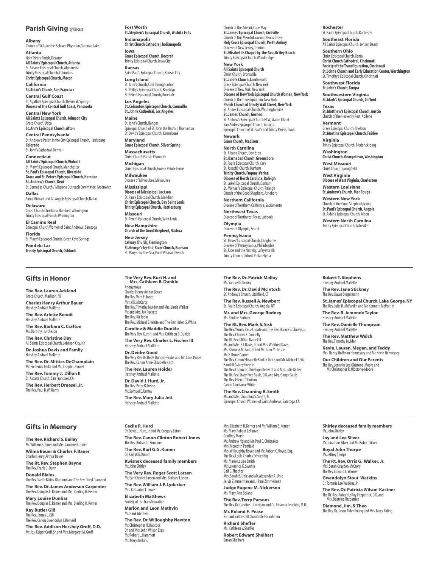#### **Parish Giving** by Diocese

**Albany** Church of St. Luke the Beloved Physician, Saranac Lake **Atlanta** HolyTrinityParish,Decatur **AllSaints'EpiscopalChurch,Atlanta** St. Aidan's Episcopal Church, Alpharetta Trinity Episcopal Church, Columbus **ChristEpiscopalChurch,Macon**

**California St.Aidan's Church, San Francisco Central Gulf Coast** St. Agatha's Episcopal Church, DeFuniak Springs<br>**Diocese of the Central Gulf Coast, Pensacola** 

**Central New York AllSaintsEpiscopalChurch,Johnson City** Grace Church, Utica **St.Ann's Episcopal Church, Afton** 

**Central Pennsylvania** St. Andrew's Parish in the City Episcopal Church, Harrisburg **Colorado** St. John's Cathedral, Denver

**Connecticut AllSaints'EpiscopalChurch,Wolcott** St. Mary's Episcopal Church, Manchester **St.Paul'sEpiscopalChurch,Riverside Grace and St.Peter'sEpiscopalChurch,Hamden St. Andrew's Church, Kent** St. Barnabas Church / Missions Outreach Committee, Greenwich **Dallas** Saint Michael and All Angels Episcopal Church, Dallas

**Delaware** ChristChurch Christiana Hundred,Wilmington Trinity Episcopal Parish, Wilmington **El Camino Real** Episcopal Church Women of Saint Andrews, Saratoga **Florida**

St. Mary's Episcopal Church, Green Cove Springs **Fond du Lac TrinityEpiscopalChurch,Oshkosh**

#### **Gifts in Honor**

**The Rev. Lauren Ackland** Grace Church, Madison, N **Charles Henry Arthur Bauer** Hershey Andrael Mallette **The Rev.Arlette Benoit Hershey Andrael Mallette The Rev.Barbara C.Crafton** Ms.Dorothy Hutcheson **The Rev.Christine Day** All Saints Episcopal Church, Johnson City, NY **Dr. Joshua Davis and Family** Hershey Andrael Mallette

**The Rev.Dr.Mitties DeChamplain** Mr. Frederick Jenks and Mr. Joseph L. Goulet **The Rev.Tommy J. Dillon II** St. Aidan's Church, San Francisco, CA **The Rev.Herbert Draesel, Jr.** The Rev.Paul B.Williams

### **Gifts in Memory**

**The Rev.Richard S.Bailey** Mr.William E.Tonerand Mrs.Caroline B.Toner **Wilma Bauer & Charles F.Bauer** Charles Henry Arthur Bauer

**The Rt.Rev.Stephen Bayne** The Rev.Frank G.Dunn

**Donald Blaies** The Rev.Sarah Blaies-DiamondandThe Rev.Daryl Diamond **The Rev.Dr. James Anderson Carpenter**

The Rev. Douglas E. Remer and Mrs. Sterling H. Remer **Mary Louise Dunbar** The Rev. Douglas E. Remer and Mrs. Sterling H. Remer

**Kay Butler Gill** The Rev.JamesL.Gill The Rev.Canon Gwendolyn J.Romeril

**The Rev.Addison Hershey Groff,D.D.** Mr. Jos. Keiper Groff, Sr. and Mrs. Margaret M. Groff

**Fort Worth St.Stephen'sEpiscopalChurch,Wichita Falls Indianapolis ChristChurch Cathedral,Indianapolis**

**Iowa Grace EpiscopalChurch,Decorah** Trinity Episcopal Church, Iowa City

**Kansas**<br>Saint Paul's Episcopal Church, Kansas City **Long Island**

St. John's Church, Cold Spring Harbor St. Philip's Episcopal Church, Brooklyn St. Peter's Episcopal Church, Rosedale

**Los Angeles St.Columba'sEpiscopalChurch,Camarillo St.John'sCathedral,Los Angeles**

**Maine** St. John's Church, Bangor<br>Episcopal Church of St. John the Baptist, Thomaston St. David's Episcopal Church, Kennebunk

**Maryland Grace Episcopal Church, Silver Spring Massachusetts** Christ Church Parish, Plymouth

**Michigan** Christ Episcopal Church, Grosse Pointe Farms **Milwaukee**

Dioceseof Milwaukee,Milwaukee **Mississippi Diocese ofMississippi,Jackson**

St. Paul's Episcopal Church, Meridian **ChristEpiscopalChurch,BaySaintLouis TrinityEpiscopalChurch,Hattiesburg**

**Missouri** St. Peter's Episcopal Church, Saint Louis **New Hampshire**

**Church of the Good Shepherd,Nashua**

**New Jersey CalvaryChurch,Flemington St.George's-by-the-RiverChurch,Rumson** St. Mary's-by-the-Sea, Point Pleasant Beach

**The Very Rev.Kurt H.and Mrs.Cathleen B.Dunkle** Anonymous Charles Henry Arthur Bauer The Rev.Vern E.Jones Mrs.V.K.McCarty The Rev.Timothy Mulderand Mrs.LindaWalker Mr. and Mrs. Jay Puckett The Rev. Kit Tobin The Rev. Michael S. White and The Rev. Helen S. White

**Caroline & Maddie Dunkle** The Very Rev.Kurt H.and Mrs.Cathleen B.Dunkle **The Very Rev.Charles L.Fischer III** Hershey Andrael Mallette **Dr.Deidre Good** The Very Rev. Dr. DeDe Duncan-Probe and Mr. Chris Probe<br>The Rev. Canon Anne Elizabeth Kitch **The Rev. Lauren Holder**

Hershey Andrael Mallette **Dr.David J.Hurd, Jr.** The Rev.Peter B.Irvine Mr. Samuel E. Urmey

**The Rev.Mary Julia Jett** Hershey Andrael Mallette

**Cecile R.Hurd** Dr. David J. Hurd, Jr. and Mr. Gregory Eaton **The Rev.Canon Clinton Robert Jones** The Rev. Richard J. Simeon **The Rev.Karl G.G.Kumm** Dr.KarlW.G.Kumm **Kwisnek deceased family members** Mr.John Shirley **The Very Rev.Roger Scott Larsen** Mr. Earl Charles Larsen and Mrs. Barbara Larsen **The Rev.William J.F. Lydecker** Mrs. Katharine L. Lowe **Elizabeth Matthews** Society of the Transfiguration **Marion and Leon Methvin** Mr.Hank Methvin **The Rev.Dr.Willoughby Newton** Mr. Christopher H. Babcock Dr. and Mrs. John Wilson Espy Mr Robert L. Hammett Ms. Mary Jenkins

Church of the Advent, Cape May **St.James'EpiscopalChurch,Yardville** Church of Our Merciful Saviour, Penns Grove<br>**Holy Cross Episcopal Church, Perth Amboy** Diocese of New Jersey, Trenton **St.Elisabeth'sChapel-by-the-Sea,Ortley Beach** Trinity Episcopal Church. Woodbridge **New York All Saints Episcopal Church**<br>Christ Church, Bronxville **St.John's Church, Larchmont** 

Grace Episcopal Church, New York<br>Diocese of New York, New York **Diocese of NewYork EpiscopalChurchWomen,NewYork** Church of the Transfiguration, New York<br>**Parish Church of Trinity Wall Street, New York** St. Anne's Episcopal Church, Washingtonville **St.James'Church,Goshen** St.Andrew'sEpiscopalChurch ECW,Staten Island San Andres Episcopal Church, Yonkers<br>Episcopal Church of St. Paul's and Trinity Parish, Tivoli

**Newark Grace Church,Madison**

**North Carolina** St. Alban's Church, Davidson **St.Barnabas'Church,Greensboro** St. Paul's Episcopal Church, Cary St. Joseph's Church, Durham **TrinityChurch,Fuquay-Varina Diocese of North Carolina,Raleigh** St. Luke's Episcopal Church, Durhan St. Michael's Eniscopal Church, Raleigh Church of the Good Shepherd, Asheboro **Northern California**

reor error recentro rises<br>Diocese of Northern California, Sacramento

**Northwest Texas** Diocese of Northwest Texas, Lubbock **Olympia**

Diocese of Olympia, Seattle **Pennsylvania**

St.James'EpiscopalChurch,Langhorne Diocese of Pennsylvania, Philadelphia<br>St. Jude and the Nativity, Lafayette Hill **Trinity Church, Oxford, Philadelphia** 

**The Rev.Dr.Patrick Malloy** Mr. Samuel E. Urmey

The Rev.Canon Elizabeth Rankin Geitzand Mr.Michael Geitz The Rt. Rev. Stacy Fred Sauls, D.D. and Mrs. Ginger Sauls

**The Rev.Channing R.Smith** Mr. and Mrs. Channing S. Smith, Jr.

**Rochester** ---<br>St. Paul's Episcopal Church, Rochester **Southeast Florida**

AllSaintsEpiscopalChurch,Jensen Beach **Southern Ohio**

Christ Episcopal Church, Xenia **ChristChurch Cathedral,Cincinnati Society of the Transfiguration,Cincinnati St.John'sChurch and EarlyEducation Center,Worthington** St.Timothy's Episcopal Church, Cincinnati **Southwest Florida**

**St. John's Church, Tampa Southwestern Virginia St.Mark'sEpiscopalChurch,Clifford**

**Texas St.Matthew'sEpiscopalChurch,Austin** Church of the Heavenly Rest,Abilene

**Vermont** Grace Episcopal Church, Sheldon **St.Martin'sEpiscopalChurch,Fairlee**

**Virginia** Trinity Episcopal Church, Fredericksburg

**Washington ChristChurch,Georgetown,Washington West Missouri**

Christ Church, Springfield

**West Virginia Diocese ofWest Virginia,Charleston**

**Western Louisiana St.Andrew'sChurch,Mer Rouge**

**Western New York** Church of the Good Shepherd, Irving **St.Paul'sEpiscopalChurch,Angola** St. Aidan's Episcopal Church, Alde

**Western North Carolina** Trinity Episcopal Church, Asheville

**Robert T.Stephens** Hershey Andrael Mallette

**The Rev. Jane Stickney** The Rev. Dawn Stegelmann

**St. James'Episcopal Church,Lake George,NY** The Rev.Julie H.McPartlin and Mr.Kenneth McPartlin

**The Rev.R. Jemonde Taylor** Hershey Andrael Mallett

**The Rev.Danielle Thompson** Hershey Andrael Mallette

**The Rev.Matthew Welch** The Rev.Timothy Mulder

**Kevin, Lauren,Megan, and Teddy** Mrs.Nancy Hoffman Hennesseyand Mr.Kevin Hennessey

**Our Children and Our Parents** The Rev. Jennifer Lee Oldstone-Moore and<br>Mr. Christopher R. Oldstone-Moore

**Shirley deceased family members** Mr. John Shirley

**Joy and Lee Silver** Mr. Jonathan Silver and Mr. Robert Silver **Royal John Thorpe** Mr. Jeffrey Thorp

**The Rt.Rev.Orris G. Walker, Jr.** Mrs.Sarah Graydon McCrory The Rev. Edward L. Warner

**Gwendolyn Stout Watkins** Dr.TommieLeeWatkins,Jr.

**The Rev.Dr.Patricia Wilson-Kastner** The Rt. Rev. Robert LeRoy Fitzpatrick, D.D. and **Mrs. Beatrice Fitzpatrick** 

**Diamond, Jim,&Theo** The Rev. Dr. Jason Alder Poling and Mrs. Mary Poling

**The Rev.Dr.David McIntosh** St. Andrew's Church, Litchfield, CT **The Rev.Russell A.Newbert** St. Paul's Episcopal Church, Angola, NY **Mr.and Mrs.George Rodney** Ms.Pauline Rodney

The Rev.Yamily Bass-ChoateandThe Rev.HoraceE.Choate,Jr. The Rev. Charles E. Connelly The Rt.Rev.Clifton Daniel III Mr.and Mrs.F.T.Davis,Jr.and Mrs.Winifred Davis Ms.Ramona M.Fantiniand Mr.John M.Jacobs Mr.E.Bruce Garner Randall Ashley Greene The Rev.Canon Dr.Christoph Keller IIIand Mrs.Julie Keller

The Rev. Ellen L. Tillotson

mit and mist channing st sinter, sit.<br>Episcopal Church Women of Saint Andrews, Saratoga, CA

Canon ConstanceWhite

**The Rt.Rev.Mark S.Sisk**

Mrs.Elizabeth B.Kernerand Mr.William B.Kerner Ms. Mary Rabaut LeFauve Geoffrey Marsh Mr. Andrew Ng and Mr. Paul C. Christakos Mrs.Meredith Penfield Mrs. Willoughby Royce and Mr. Robert C. Royce, Esq.

The Rev. Louis Charles Schueddig Ms. Marie Louise Smith Mr.Lawrence K.Swehla Gail G.Thacher Mrs.Sarah B.Uhleand Mr.Alexander A.Uhle Jervis Zimmerman and J. Paul Zimmerman **Judge Eugene M.Nickerson**

Ms.Mary Ann Boland **The Rev.Terry Parsons** The Rev. Dr. Candice L. Corrigan and Dr. Johanna Leuchter, M.D. **Mr.Roland F. Pease** Richard Saltonstall Charitable Foundation **Richard Sheffer** Ms. Kathleen V. Sheffe

**Robert Edward Shelhart** Susan Shelhart